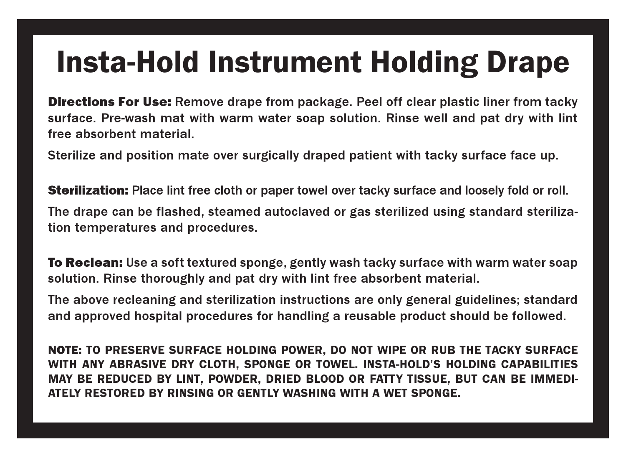## Insta-Hold Instrument Holding Drape

**Directions For Use:** Remove drape from package. Peel off clear plastic liner from tacky surface. Pre-wash mat with warm water soap solution. Rinse well and pat dry with lint free absorbent material.

Sterilize and position mate over surgically draped patient with tacky surface face up.

**Sterilization:** Place lint free cloth or paper towel over tacky surface and loosely fold or roll. The drape can be flashed, steamed autoclaved or gas sterilized using standard sterilization temperatures and procedures.

**To Reclean:** Use a soft textured sponge, gently wash tacky surface with warm water soap solution. Rinse thoroughly and pat dry with lint free absorbent material.

The above recleaning and sterilization instructions are only general guidelines; standard and approved hospital procedures for handling a reusable product should be followed.

NOTE: TO PRESERVE SURFACE HOLDING POWER, DO NOT WIPE OR RUB THE TACKY SURFACE WITH ANY ABRASIVE DRY CLOTH, SPONGE OR TOWEL. INSTA-HOLD'S HOLDING CAPABILITIES MAY BE REDUCED BY LINT, POWDER, DRIED BLOOD OR FATTY TISSUE, BUT CAN BE IMMEDI-ATELY RESTORED BY RINSING OR GENTLY WASHING WITH A WET SPONGE.